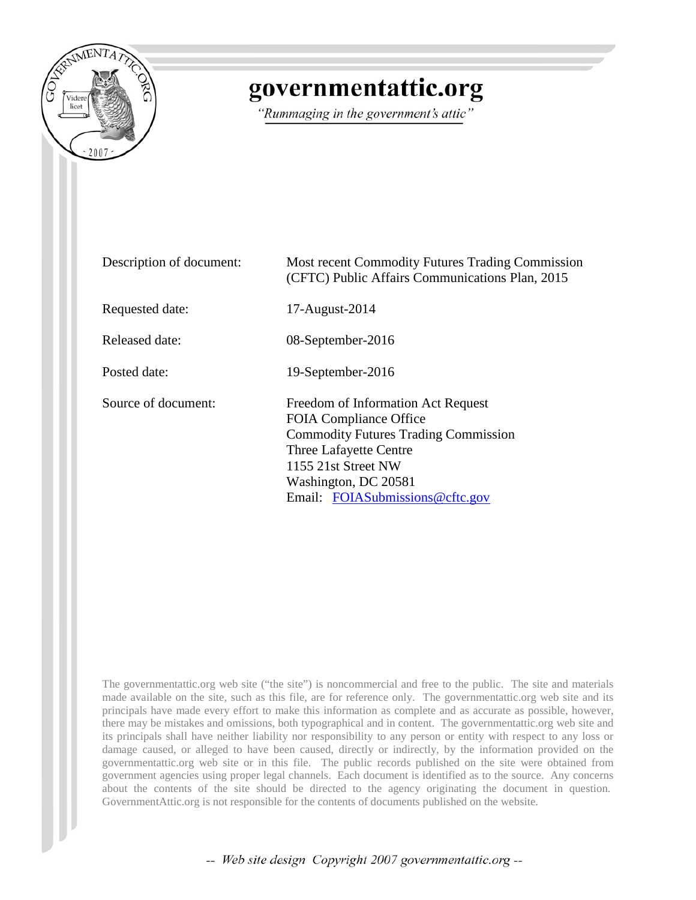

# governmentattic.org

"Rummaging in the government's attic"

| Description of document: | Most recent Commodity Futures Trading Commission<br>(CFTC) Public Affairs Communications Plan, 2015                                                                                                                            |
|--------------------------|--------------------------------------------------------------------------------------------------------------------------------------------------------------------------------------------------------------------------------|
| Requested date:          | 17-August-2014                                                                                                                                                                                                                 |
| Released date:           | 08-September-2016                                                                                                                                                                                                              |
| Posted date:             | 19-September-2016                                                                                                                                                                                                              |
| Source of document:      | Freedom of Information Act Request<br><b>FOIA Compliance Office</b><br><b>Commodity Futures Trading Commission</b><br>Three Lafayette Centre<br>1155 21st Street NW<br>Washington, DC 20581<br>Email: FOIASubmissions@cftc.gov |

The governmentattic.org web site ("the site") is noncommercial and free to the public. The site and materials made available on the site, such as this file, are for reference only. The governmentattic.org web site and its principals have made every effort to make this information as complete and as accurate as possible, however, there may be mistakes and omissions, both typographical and in content. The governmentattic.org web site and its principals shall have neither liability nor responsibility to any person or entity with respect to any loss or damage caused, or alleged to have been caused, directly or indirectly, by the information provided on the governmentattic.org web site or in this file. The public records published on the site were obtained from government agencies using proper legal channels. Each document is identified as to the source. Any concerns about the contents of the site should be directed to the agency originating the document in question. GovernmentAttic.org is not responsible for the contents of documents published on the website.

-- Web site design Copyright 2007 governmentattic.org --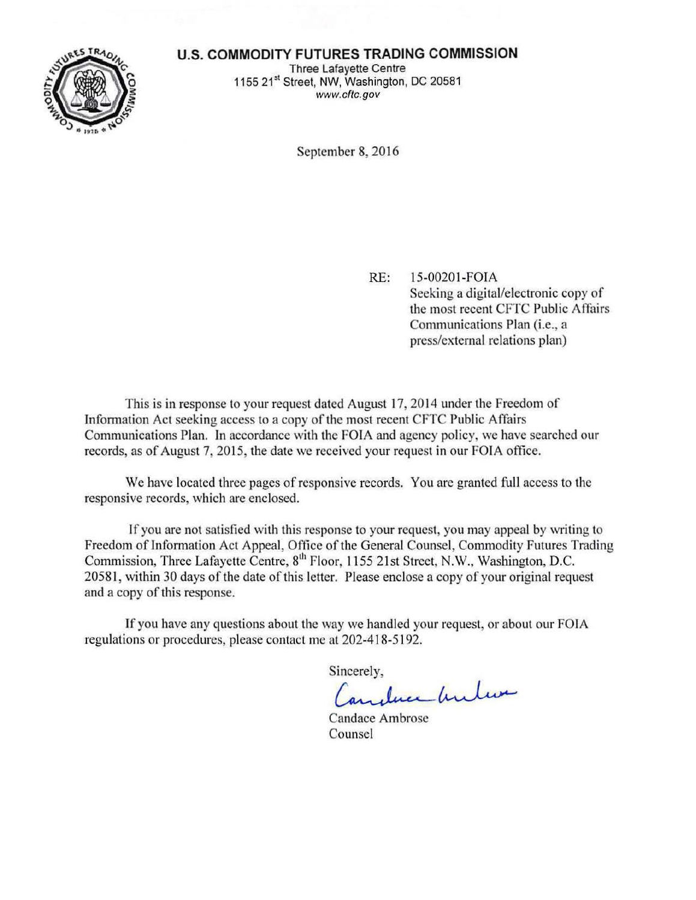### **U.S. COMMODITY FUTURES TRADING COMMISSION**



Three Lafayette Centre 1155 21<sup>st</sup> Street, NW, Washington, DC 20581 www.cftc.gov

September 8, 2016

RE: 15-00201-FOIA Seeking a digital/electronic copy of the most recent CFTC Public Affairs Communications Plan (i.e., a press/external relations plan)

This is in response to your request dated August 17, 2014 under the Freedom of Information Act seeking access to a copy of the most recent CFTC Public Affairs Communications Plan. In accordance with the FOIA and agency policy, we have searched our records, as of August 7, 2015, the date we received your request in our FOIA office.

We have located three pages of responsive records. You are granted full access to the responsive records, which are enclosed.

If you are not satisfied with this response to your request, you may appeal by writing to Freedom of Information Act Appeal, Office of the General Counsel, Commodity Futures Trading Commission, Three Lafayette Centre, 8<sup>th</sup> Floor, 1155 21st Street, N.W., Washington, D.C. 20581, within 30 days of the date of this letter. Please enclose a copy of your original request and a copy of this response.

If you have any questions about the way we handled your request, or about our FOIA regulations or procedures, please contact me at 202-418-5192.

Sincerely,

... *June Under* 

**Candace Ambrose** Counsel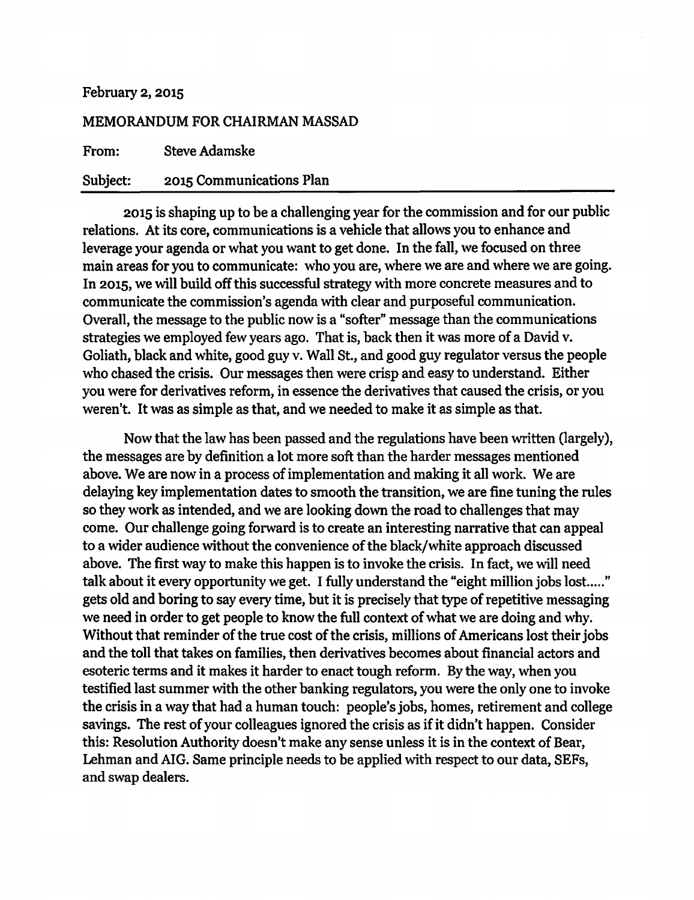#### February 2, 2015

### MEMORANDUM FOR CHAIRMAN MASSAD

From: Steve Adamske

### Subject: 2015 Communications Plan

2015 is shaping up to be a challenging year for the commission and for our public relations. At its core, communications is a vehicle that allows you to enhance and leverage your agenda or what you want to get done. In the fall, we focused on three main areas for you to communicate: who you are, where we are and where we are going. In 2015, we will build off this successful strategy with more concrete measures and to communicate the commission's agenda with clear and purposeful communication. Overall, the message to the public now is a "softer" message than the communications strategies we employed few years ago. That is, back then it was more of a David v. Goliath, black and white, good guy v. Wall St., and good guy regulator versus the people who chased the crisis. Our messages then were crisp and easy to understand. Either you were for derivatives reform, in essence the derivatives that caused the crisis, or you weren't. It was as simple as that, and we needed to make it as simple as that.

Now that the law has been passed and the regulations have been written (largely), the messages are by definition a lot more soft than the harder messages mentioned above. We are now in a process of implementation and making it all work. We are delaying key implementation dates to smooth the transition, we are fine tuning the rules so they work as intended, and we are looking down the road to challenges that may come. Our challenge going forward is to create an interesting narrative that can appeal to a wider audience without the convenience of the black/white approach discussed above. The first way to make this happen is to invoke the crisis. In fact, we will need talk about it every opportunity we get. I fully understand the "eight million jobs lost....." gets old and boring to say every time, but it is precisely that type of repetitive messaging we need in order to get people to know the full context of what we are doing and why. Without that reminder of the true cost of the crisis, millions of Americans lost their jobs and the toll that takes on families, then derivatives becomes about financial actors and esoteric terms and it makes it harder to enact tough reform. By the way, when you testified last summer with the other banking regulators, you were the only one to invoke the crisis in a way that had a human touch: people's jobs, homes, retirement and college savings. The rest of your colleagues ignored the crisis as if it didn't happen. Consider this: Resolution Authority doesn't make any sense unless it is in the context of Bear, Lehman and AIG. Same principle needs to be applied with respect to our data, SEFs, and swap dealers.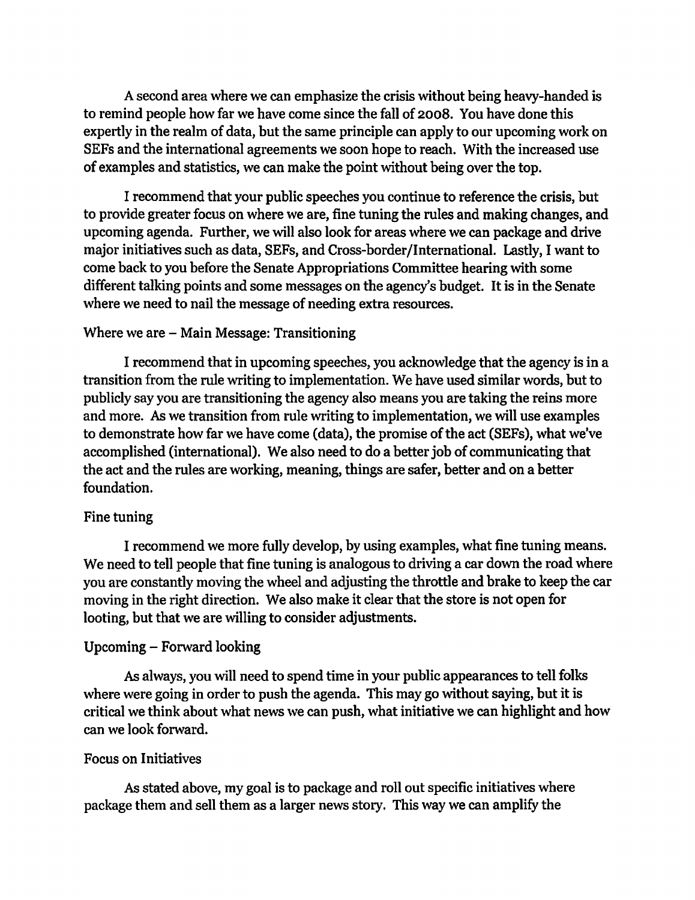A second area where we can emphasize the crisis without being heavy-handed is to remind people how far we have come since the fall of 2008. You have done this expertly in the realm of data, but the same principle can apply to our upcoming work on SEFs and the international agreements we soon hope to reach. With the increased use of examples and statistics, we can make the point without being over the top.

I recommend that your public speeches you continue to reference the crisis, but to provide greater focus on where we are, fine tuning the rules and making changes, and upcoming agenda. Further, we will also look for areas where we can package and drive major initiatives such as data, SEFs, and Cross-border/International. Lastly, I want to come back to you before the Senate Appropriations Committee hearing with some different talking points and some messages on the agency's budget. It is in the Senate where we need to nail the message of needing extra resources.

## Where we are  $-$  Main Message: Transitioning

I recommend that in upcoming speeches, you acknowledge that the agency is in a transition from the rule writing to implementation. We have used similar words, but to publicly say you are transitioning the agency also means you are taking the reins more and more. As we transition from rule writing to implementation, we will use examples to demonstrate how far we have come (data), the promise of the act (SEFs), what we've accomplished (international). We also need to do a better job of communicating that the act and the rules are working, meaning, things are safer, better and on a better foundation.

# Fine tuning

I recommend we more fully develop, by using examples, what fine tuning means. We need to tell people that fine tuning is analogous to driving a car down the road where you are constantly moving the wheel and adjusting the throttle and brake to keep the car moving in the right direction. We also make it clear that the store is not open for looting, but that we are willing to consider adjustments.

# Upcoming - Forward looking

As always, you will need to spend time in your public appearances to tell folks where were going in order to push the agenda. This may go without saying, but it is critical we think about what news we can push, what initiative we can highlight and how can we look forward.

## Focus on Initiatives

As stated above, my goal is to package and roll out specific initiatives where package them and sell them as a larger news story. This way we can amplify the